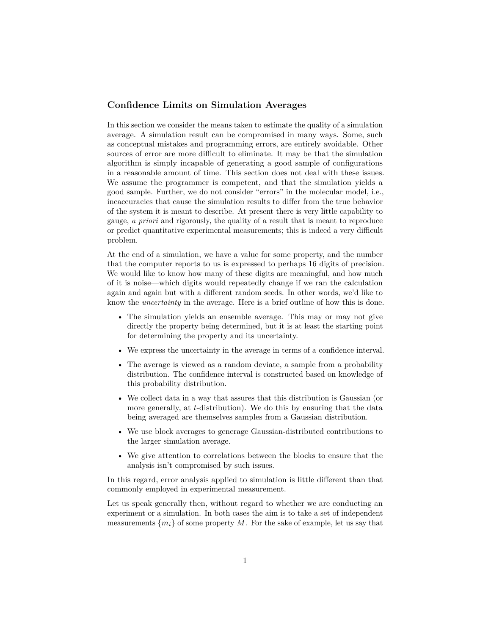## **Confidence Limits on Simulation Averages**

In this section we consider the means taken to estimate the quality of a simulation average. A simulation result can be compromised in many ways. Some, such as conceptual mistakes and programming errors, are entirely avoidable. Other sources of error are more difficult to eliminate. It may be that the simulation algorithm is simply incapable of generating a good sample of configurations in a reasonable amount of time. This section does not deal with these issues. We assume the programmer is competent, and that the simulation yields a good sample. Further, we do not consider "errors" in the molecular model, i.e., incaccuracies that cause the simulation results to differ from the true behavior of the system it is meant to describe. At present there is very little capability to gauge, *a priori* and rigorously, the quality of a result that is meant to reproduce or predict quantitative experimental measurements; this is indeed a very difficult problem.

At the end of a simulation, we have a value for some property, and the number that the computer reports to us is expressed to perhaps 16 digits of precision. We would like to know how many of these digits are meaningful, and how much of it is noise—which digits would repeatedly change if we ran the calculation again and again but with a different random seeds. In other words, we'd like to know the *uncertainty* in the average. Here is a brief outline of how this is done.

- The simulation yields an ensemble average. This may or may not give directly the property being determined, but it is at least the starting point for determining the property and its uncertainty.
- We express the uncertainty in the average in terms of a confidence interval.
- The average is viewed as a random deviate, a sample from a probability distribution. The confidence interval is constructed based on knowledge of this probability distribution.
- We collect data in a way that assures that this distribution is Gaussian (or more generally, at *t*-distribution). We do this by ensuring that the data being averaged are themselves samples from a Gaussian distribution.
- We use block averages to generage Gaussian-distributed contributions to the larger simulation average.
- We give attention to correlations between the blocks to ensure that the analysis isn't compromised by such issues.

In this regard, error analysis applied to simulation is little different than that commonly employed in experimental measurement.

Let us speak generally then, without regard to whether we are conducting an experiment or a simulation. In both cases the aim is to take a set of independent measurements  $\{m_i\}$  of some property M. For the sake of example, let us say that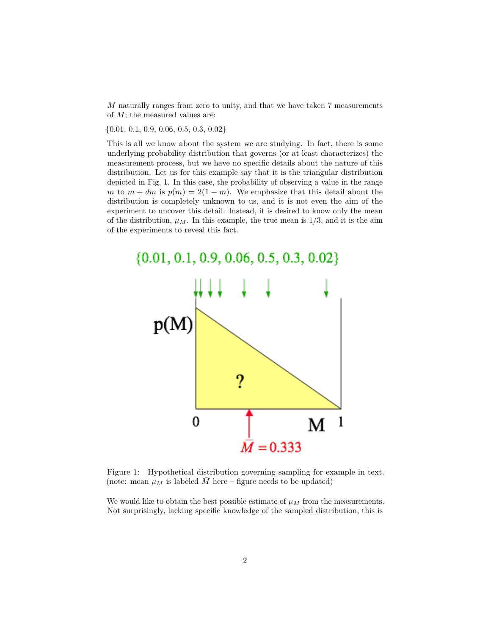*M* naturally ranges from zero to unity, and that we have taken 7 measurements of *M*; the measured values are:

 $\{0.01, 0.1, 0.9, 0.06, 0.5, 0.3, 0.02\}$ 

This is all we know about the system we are studying. In fact, there is some underlying probability distribution that governs (or at least characterizes) the measurement process, but we have no specific details about the nature of this distribution. Let us for this example say that it is the triangular distribution depicted in Fig. [1.](#page-1-0) In this case, the probability of observing a value in the range *m* to  $m + dm$  is  $p(m) = 2(1 - m)$ . We emphasize that this detail about the distribution is completely unknown to us, and it is not even the aim of the experiment to uncover this detail. Instead, it is desired to know only the mean of the distribution,  $\mu_M$ . In this example, the true mean is  $1/3$ , and it is the aim of the experiments to reveal this fact.



<span id="page-1-0"></span>Figure 1: Hypothetical distribution governing sampling for example in text. (note: mean  $\mu_M$  is labeled M here – figure needs to be updated)

We would like to obtain the best possible estimate of  $\mu$ *M* from the measurements. Not surprisingly, lacking specific knowledge of the sampled distribution, this is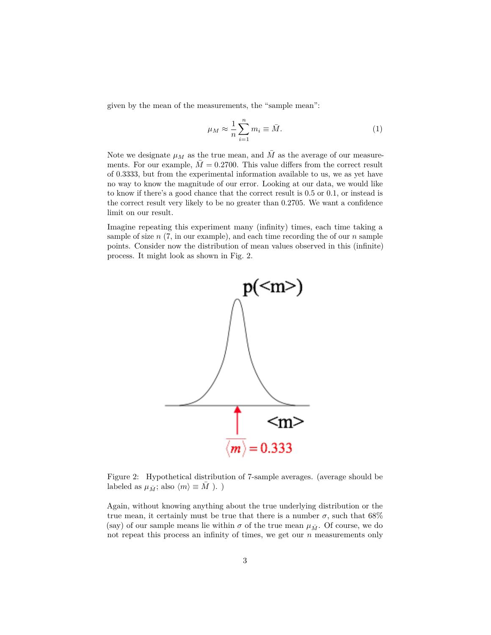given by the mean of the measurements, the "sample mean":

<span id="page-2-1"></span>
$$
\mu_M \approx \frac{1}{n} \sum_{i=1}^n m_i \equiv \bar{M}.\tag{1}
$$

Note we designate  $\mu_M$  as the true mean, and  $\overline{M}$  as the average of our measurements. For our example,  $M = 0.2700$ . This value differs from the correct result of 0.3333, but from the experimental information available to us, we as yet have no way to know the magnitude of our error. Looking at our data, we would like to know if there's a good chance that the correct result is 0.5 or 0.1, or instead is the correct result very likely to be no greater than 0.2705. We want a confidence limit on our result.

Imagine repeating this experiment many (infinity) times, each time taking a sample of size *n* (7, in our example), and each time recording the of our *n* sample points. Consider now the distribution of mean values observed in this (infinite) process. It might look as shown in Fig. [2.](#page-2-0)



<span id="page-2-0"></span>Figure 2: Hypothetical distribution of 7-sample averages. (average should be labeled as  $\mu_{\bar{M}}$ ; also  $\langle m \rangle \equiv M$  ). )

Again, without knowing anything about the true underlying distribution or the true mean, it certainly must be true that there is a number  $\sigma$ , such that 68% (say) of our sample means lie within  $\sigma$  of the true mean  $\mu_{\bar{M}}$ . Of course, we do not repeat this process an infinity of times, we get our *n* measurements only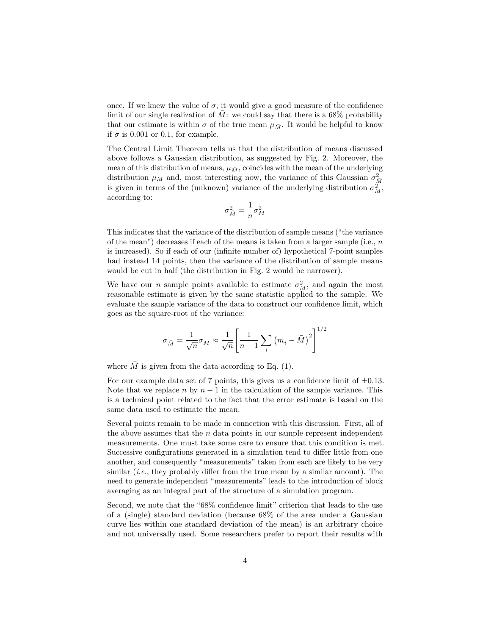once. If we knew the value of  $\sigma$ , it would give a good measure of the confidence limit of our single realization of  $\overline{M}$ : we could say that there is a 68% probability that our estimate is within  $\sigma$  of the true mean  $\mu_{\bar{M}}$ . It would be helpful to know if  $\sigma$  is 0.001 or 0.1, for example.

The Central Limit Theorem tells us that the distribution of means discussed above follows a Gaussian distribution, as suggested by Fig. [2.](#page-2-0) Moreover, the mean of this distribution of means,  $\mu_{\bar{M}}$ , coincides with the mean of the underlying distribution  $\mu_M$  and, most interesting now, the variance of this Gaussian  $\sigma_{\overline{M}}^2$ is given in terms of the (unknown) variance of the underlying distribution  $\sigma_M^2$ , according to:

$$
\sigma_{\bar{M}}^2 = \frac{1}{n} \sigma_M^2
$$

This indicates that the variance of the distribution of sample means ("the variance of the mean") decreases if each of the means is taken from a larger sample (i.e., *n* is increased). So if each of our (infinite number of) hypothetical 7-point samples had instead 14 points, then the variance of the distribution of sample means would be cut in half (the distribution in Fig. [2](#page-2-0) would be narrower).

We have our *n* sample points available to estimate  $\sigma_M^2$ , and again the most reasonable estimate is given by the same statistic applied to the sample. We evaluate the sample variance of the data to construct our confidence limit, which goes as the square-root of the variance:

$$
\sigma_{\bar{M}} = \frac{1}{\sqrt{n}} \sigma_M \approx \frac{1}{\sqrt{n}} \left[ \frac{1}{n-1} \sum_i \left( m_i - \bar{M} \right)^2 \right]^{1/2}
$$

where  $\overline{M}$  is given from the data according to Eq. [\(1\)](#page-2-1).

For our example data set of 7 points, this gives us a confidence limit of  $\pm 0.13$ . Note that we replace *n* by  $n-1$  in the calculation of the sample variance. This is a technical point related to the fact that the error estimate is based on the same data used to estimate the mean.

Several points remain to be made in connection with this discussion. First, all of the above assumes that the *n* data points in our sample represent independent measurements. One must take some care to ensure that this condition is met. Successive configurations generated in a simulation tend to differ little from one another, and consequently "measurements" taken from each are likely to be very similar (*i.e.*, they probably differ from the true mean by a similar amount). The need to generate independent "measurements" leads to the introduction of block averaging as an integral part of the structure of a simulation program.

Second, we note that the "68% confidence limit" criterion that leads to the use of a (single) standard deviation (because 68% of the area under a Gaussian curve lies within one standard deviation of the mean) is an arbitrary choice and not universally used. Some researchers prefer to report their results with